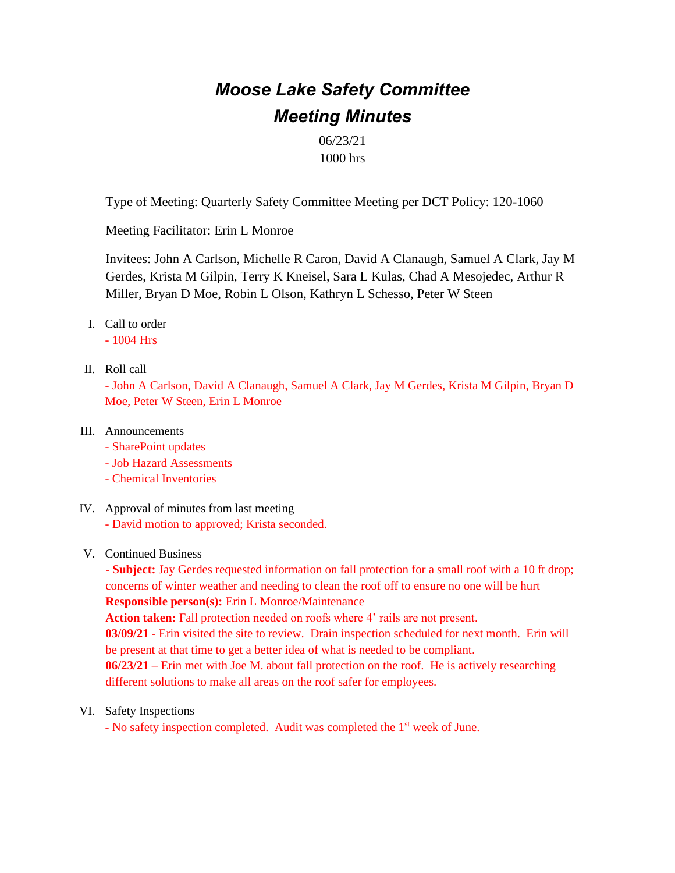# *Moose Lake Safety Committee Meeting Minutes*

06/23/21 1000 hrs

Type of Meeting: Quarterly Safety Committee Meeting per DCT Policy: 120-1060

Meeting Facilitator: Erin L Monroe

Invitees: John A Carlson, Michelle R Caron, David A Clanaugh, Samuel A Clark, Jay M Gerdes, Krista M Gilpin, Terry K Kneisel, Sara L Kulas, Chad A Mesojedec, Arthur R Miller, Bryan D Moe, Robin L Olson, Kathryn L Schesso, Peter W Steen

I. Call to order

- 1004 Hrs

II. Roll call

- John A Carlson, David A Clanaugh, Samuel A Clark, Jay M Gerdes, Krista M Gilpin, Bryan D Moe, Peter W Steen, Erin L Monroe

# III. Announcements

- SharePoint updates
- Job Hazard Assessments
- Chemical Inventories
- IV. Approval of minutes from last meeting
	- David motion to approved; Krista seconded.

# V. Continued Business

- **Subject:** Jay Gerdes requested information on fall protection for a small roof with a 10 ft drop; concerns of winter weather and needing to clean the roof off to ensure no one will be hurt **Responsible person(s):** Erin L Monroe/Maintenance Action taken: Fall protection needed on roofs where 4' rails are not present. **03/09/21** - Erin visited the site to review. Drain inspection scheduled for next month. Erin will be present at that time to get a better idea of what is needed to be compliant. **06/23/21** – Erin met with Joe M. about fall protection on the roof. He is actively researching different solutions to make all areas on the roof safer for employees.

VI. Safety Inspections

- No safety inspection completed. Audit was completed the 1<sup>st</sup> week of June.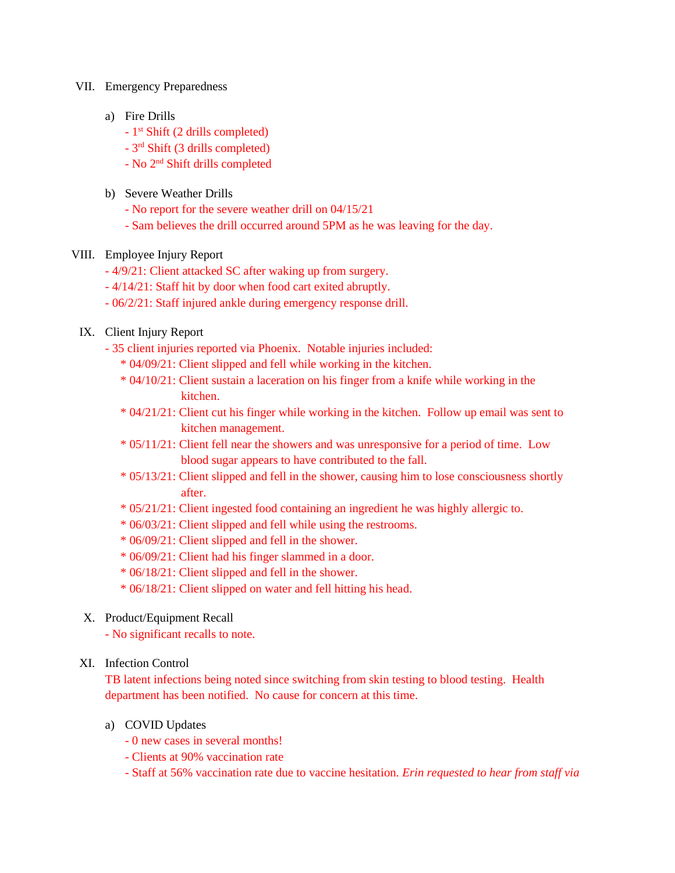#### VII. Emergency Preparedness

- a) Fire Drills
	- 1 st Shift (2 drills completed)
	- 3 rd Shift (3 drills completed)
	- No 2nd Shift drills completed
- b) Severe Weather Drills
	- No report for the severe weather drill on 04/15/21
	- Sam believes the drill occurred around 5PM as he was leaving for the day.
- VIII. Employee Injury Report
	- 4/9/21: Client attacked SC after waking up from surgery.
	- 4/14/21: Staff hit by door when food cart exited abruptly.
	- 06/2/21: Staff injured ankle during emergency response drill.

# IX. Client Injury Report

- 35 client injuries reported via Phoenix. Notable injuries included:
	- \* 04/09/21: Client slipped and fell while working in the kitchen.
	- \* 04/10/21: Client sustain a laceration on his finger from a knife while working in the kitchen.
	- \* 04/21/21: Client cut his finger while working in the kitchen. Follow up email was sent to kitchen management.
	- \* 05/11/21: Client fell near the showers and was unresponsive for a period of time. Low blood sugar appears to have contributed to the fall.
	- \* 05/13/21: Client slipped and fell in the shower, causing him to lose consciousness shortly after.
	- \* 05/21/21: Client ingested food containing an ingredient he was highly allergic to.
	- \* 06/03/21: Client slipped and fell while using the restrooms.
	- \* 06/09/21: Client slipped and fell in the shower.
	- \* 06/09/21: Client had his finger slammed in a door.
	- \* 06/18/21: Client slipped and fell in the shower.
	- \* 06/18/21: Client slipped on water and fell hitting his head.
- X. Product/Equipment Recall
	- No significant recalls to note.

## XI. Infection Control

TB latent infections being noted since switching from skin testing to blood testing. Health department has been notified. No cause for concern at this time.

- a) COVID Updates
	- 0 new cases in several months!
	- Clients at 90% vaccination rate
	- Staff at 56% vaccination rate due to vaccine hesitation. *Erin requested to hear from staff via*